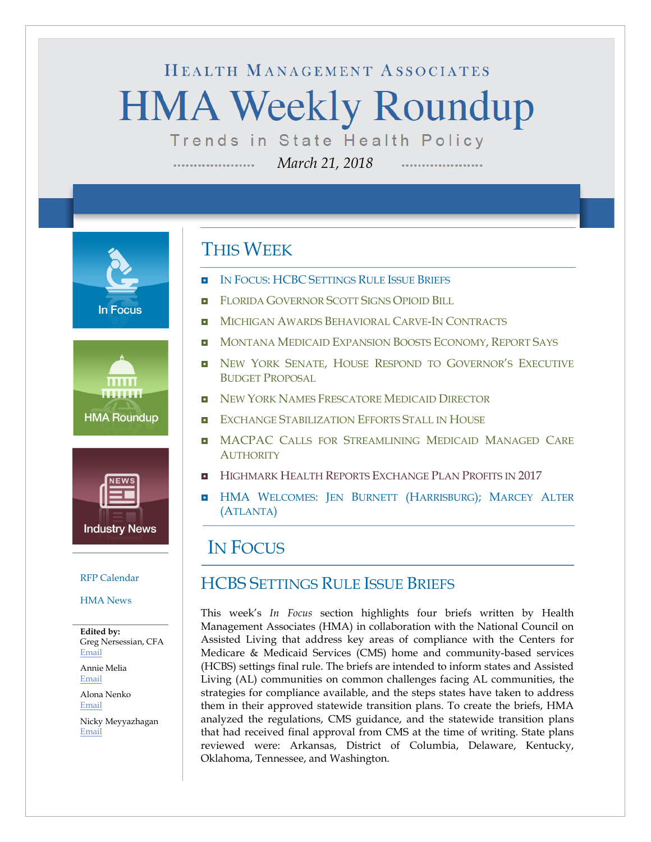# HEALTH MANAGEMENT ASSOCIATES **HMA Weekly Roundup** Trends in State Health Policy

*March 21, 2018*

**In Focus** 





#### [RFP Calendar](#page-15-0)

#### [HMA News](#page-16-0)

**Edited by:** Greg Nersessian, CFA [Email](mailto:gnersessian@healthmanagement.com)

Annie Melia [Email](mailto:amelia@healthmanagement.com)

Alona Nenko [Email](mailto:anenko@healthmanagement.com)

Nicky Meyyazhagan [Email](mailto:nmeyyazhagan@healthmanagement.com)

### THIS WEEK

--------------------

- IN FOCUS: HCBC [SETTINGS RULE ISSUE BRIEFS](#page-0-0)
- **[FLORIDA GOVERNOR SCOTT SIGNS OPIOID BILL](#page-3-0)**
- **[MICHIGAN AWARDS BEHAVIORAL CARVE-IN CONTRACTS](#page-4-0)**
- **INONTANA MEDICAID EXPANSION BOOSTS ECONOMY, REPORT SAYS**
- **NEW YORK SENATE, HOUSE RESPOND TO GOVERNOR'S EXECUTIVE** [BUDGET PROPOSAL](#page-5-1)
- **[NEW YORK NAMES FRESCATORE MEDICAID DIRECTOR](#page-5-1)**
- **[EXCHANGE STABILIZATION EFFORTS STALL IN HOUSE](#page-12-0)**
- **D** MACPAC CALLS FOR STREAMLINING MEDICAID MANAGED CARE **[AUTHORITY](#page-12-0)**
- **[HIGHMARK HEALTH REPORTS EXCHANGE PLAN PROFITS IN 2017](#page-14-0)**
- **HMA WELCOMES: [JEN BURNETT \(HARRISBURG\);](#page-17-0) MARCEY ALTER** [\(ATLANTA\)](#page-17-0)

### <span id="page-0-0"></span>IN FOCUS

### HCBS SETTINGS RULE ISSUE BRIEFS

This week's *In Focus* section highlights four briefs written by Health Management Associates (HMA) in collaboration with the National Council on Assisted Living that address key areas of compliance with the Centers for Medicare & Medicaid Services (CMS) home and community-based services (HCBS) settings final rule. The briefs are intended to inform states and Assisted Living (AL) communities on common challenges facing AL communities, the strategies for compliance available, and the steps states have taken to address them in their approved statewide transition plans. To create the briefs, HMA analyzed the regulations, CMS guidance, and the statewide transition plans that had received final approval from CMS at the time of writing. State plans reviewed were: Arkansas, District of Columbia, Delaware, Kentucky, Oklahoma, Tennessee, and Washington.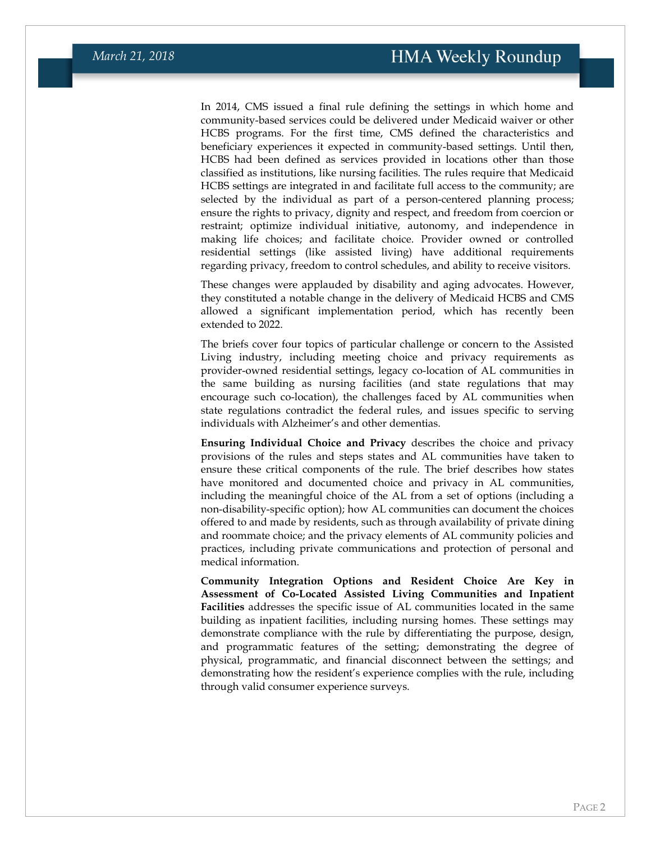In 2014, CMS issued a final rule defining the settings in which home and community-based services could be delivered under Medicaid waiver or other HCBS programs. For the first time, CMS defined the characteristics and beneficiary experiences it expected in community-based settings. Until then, HCBS had been defined as services provided in locations other than those classified as institutions, like nursing facilities. The rules require that Medicaid HCBS settings are integrated in and facilitate full access to the community; are selected by the individual as part of a person-centered planning process; ensure the rights to privacy, dignity and respect, and freedom from coercion or restraint; optimize individual initiative, autonomy, and independence in making life choices; and facilitate choice. Provider owned or controlled residential settings (like assisted living) have additional requirements regarding privacy, freedom to control schedules, and ability to receive visitors.

These changes were applauded by disability and aging advocates. However, they constituted a notable change in the delivery of Medicaid HCBS and CMS allowed a significant implementation period, which has recently been extended to 2022.

The briefs cover four topics of particular challenge or concern to the Assisted Living industry, including meeting choice and privacy requirements as provider-owned residential settings, legacy co-location of AL communities in the same building as nursing facilities (and state regulations that may encourage such co-location), the challenges faced by AL communities when state regulations contradict the federal rules, and issues specific to serving individuals with Alzheimer's and other dementias.

**Ensuring Individual Choice and Privacy** describes the choice and privacy provisions of the rules and steps states and AL communities have taken to ensure these critical components of the rule. The brief describes how states have monitored and documented choice and privacy in AL communities, including the meaningful choice of the AL from a set of options (including a non-disability-specific option); how AL communities can document the choices offered to and made by residents, such as through availability of private dining and roommate choice; and the privacy elements of AL community policies and practices, including private communications and protection of personal and medical information.

**Community Integration Options and Resident Choice Are Key in Assessment of Co-Located Assisted Living Communities and Inpatient Facilities** addresses the specific issue of AL communities located in the same building as inpatient facilities, including nursing homes. These settings may demonstrate compliance with the rule by differentiating the purpose, design, and programmatic features of the setting; demonstrating the degree of physical, programmatic, and financial disconnect between the settings; and demonstrating how the resident's experience complies with the rule, including through valid consumer experience surveys.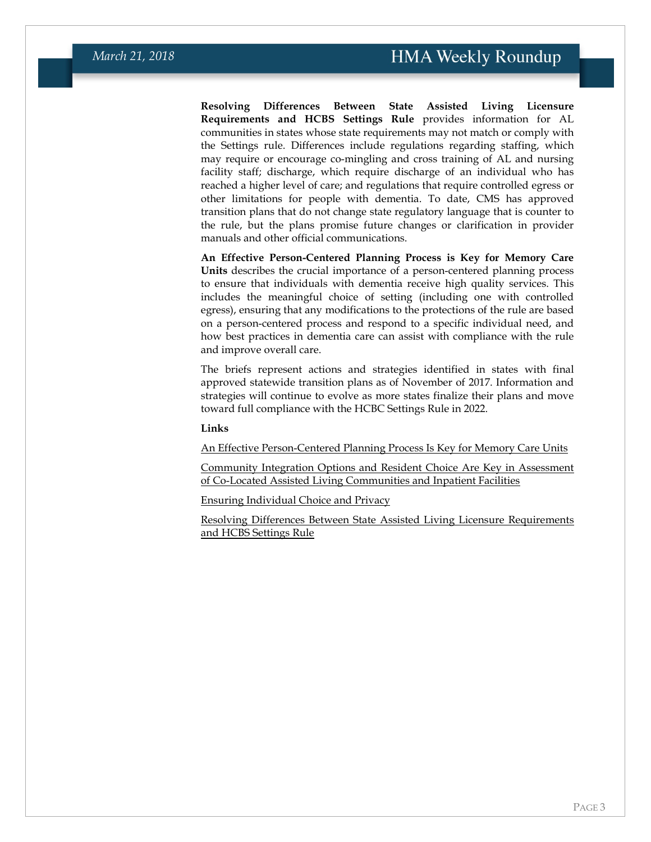**Resolving Differences Between State Assisted Living Licensure Requirements and HCBS Settings Rule** provides information for AL communities in states whose state requirements may not match or comply with the Settings rule. Differences include regulations regarding staffing, which may require or encourage co-mingling and cross training of AL and nursing facility staff; discharge, which require discharge of an individual who has reached a higher level of care; and regulations that require controlled egress or other limitations for people with dementia. To date, CMS has approved transition plans that do not change state regulatory language that is counter to the rule, but the plans promise future changes or clarification in provider manuals and other official communications.

**An Effective Person-Centered Planning Process is Key for Memory Care Units** describes the crucial importance of a person-centered planning process to ensure that individuals with dementia receive high quality services. This includes the meaningful choice of setting (including one with controlled egress), ensuring that any modifications to the protections of the rule are based on a person-centered process and respond to a specific individual need, and how best practices in dementia care can assist with compliance with the rule and improve overall care.

The briefs represent actions and strategies identified in states with final approved statewide transition plans as of November of 2017. Information and strategies will continue to evolve as more states finalize their plans and move toward full compliance with the HCBC Settings Rule in 2022.

#### **Links**

[An Effective Person-Centered Planning Process Is Key for Memory Care Units](https://www.healthmanagement.com/wp-content/uploads/HCBS-Settings-Rule-Memory-Care.pdf)

[Community Integration Options and Resident Choice Are Key in Assessment](https://www.healthmanagement.com/wp-content/uploads/HCBS-Settings-Rule-Co-located-Settings.pdf)  [of Co-Located Assisted Living Communities and Inpatient Facilities](https://www.healthmanagement.com/wp-content/uploads/HCBS-Settings-Rule-Co-located-Settings.pdf)

[Ensuring Individual Choice and Privacy](https://www.healthmanagement.com/wp-content/uploads/HCBS-Settings-Rule-Choice-and-Privacy.pdf)

[Resolving Differences Between State Assisted Living Licensure Requirements](https://www.healthmanagement.com/wp-content/uploads/HCBS-Settings-Rule-Licensing.pdf)  [and HCBS Settings Rule](https://www.healthmanagement.com/wp-content/uploads/HCBS-Settings-Rule-Licensing.pdf)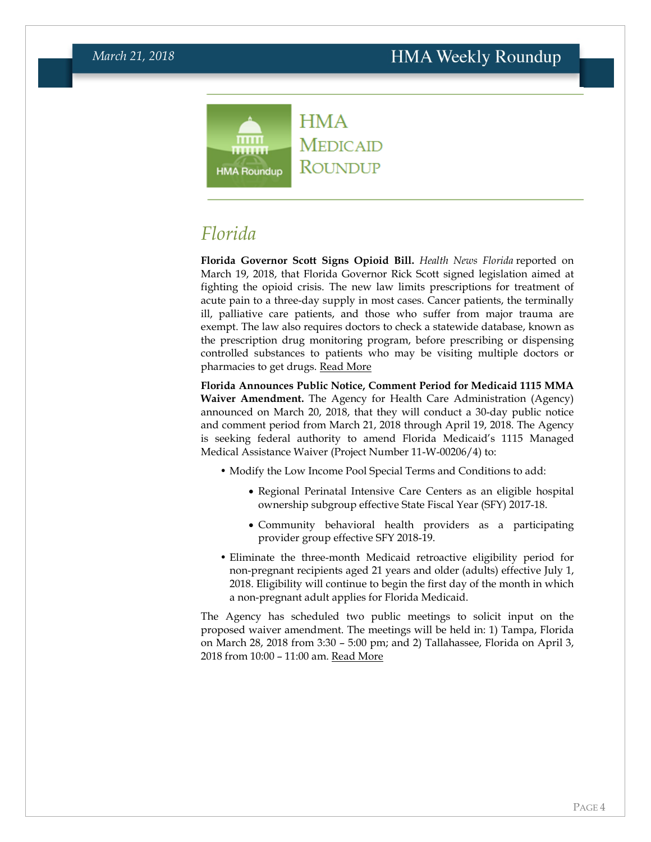#### **HMA**  $mm$ **MEDICAID** ....... ROUNDUP **HMA Roundup**

<span id="page-3-0"></span>*Florida*

**Florida Governor Scott Signs Opioid Bill.** *Health News Florida* reported on March 19, 2018, that Florida Governor Rick Scott signed legislation aimed at fighting the opioid crisis. The new law limits prescriptions for treatment of acute pain to a three-day supply in most cases. Cancer patients, the terminally ill, palliative care patients, and those who suffer from major trauma are exempt. The law also requires doctors to check a statewide database, known as the prescription drug monitoring program, before prescribing or dispensing controlled substances to patients who may be visiting multiple doctors or pharmacies to get drugs. [Read More](http://health.wusf.usf.edu/post/gov-scott-signs-bill-combat-opioids-crisis#stream/0)

**Florida Announces Public Notice, Comment Period for Medicaid 1115 MMA Waiver Amendment.** The Agency for Health Care Administration (Agency) announced on March 20, 2018, that they will conduct a 30-day public notice and comment period from March 21, 2018 through April 19, 2018. The Agency is seeking federal authority to amend Florida Medicaid's 1115 Managed Medical Assistance Waiver (Project Number 11-W-00206/4) to:

- Modify the Low Income Pool Special Terms and Conditions to add:
	- Regional Perinatal Intensive Care Centers as an eligible hospital ownership subgroup effective State Fiscal Year (SFY) 2017-18.
	- Community behavioral health providers as a participating provider group effective SFY 2018-19.
- Eliminate the three-month Medicaid retroactive eligibility period for non-pregnant recipients aged 21 years and older (adults) effective July 1, 2018. Eligibility will continue to begin the first day of the month in which a non-pregnant adult applies for Florida Medicaid.

The Agency has scheduled two public meetings to solicit input on the proposed waiver amendment. The meetings will be held in: 1) Tampa, Florida on March 28, 2018 from 3:30 – 5:00 pm; and 2) Tallahassee, Florida on April 3, 2018 from 10:00 – 11:00 am. [Read More](http://ahca.myflorida.com/medicaid/Policy_and_Quality/Policy/federal_authorities/federal_waivers/mma_amend_waiver_LIP_2018-03.shtml)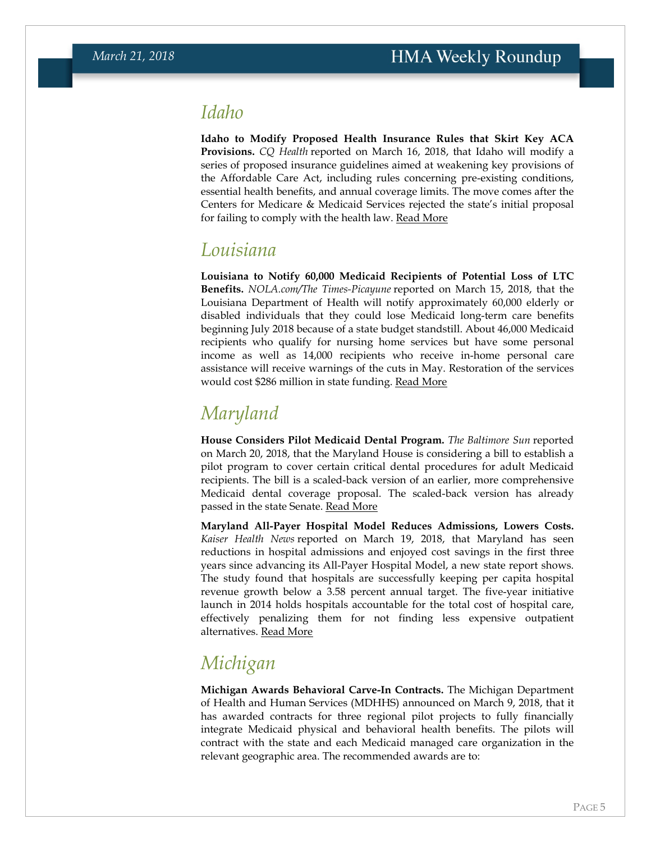### *Idaho*

**Idaho to Modify Proposed Health Insurance Rules that Skirt Key ACA Provisions.** *CQ Health* reported on March 16, 2018, that Idaho will modify a series of proposed insurance guidelines aimed at weakening key provisions of the Affordable Care Act, including rules concerning pre-existing conditions, essential health benefits, and annual coverage limits. The move comes after the Centers for Medicare & Medicaid Services rejected the state's initial proposal for failing to comply with the health law. [Read More](https://info.cq.com/legislative-news/cq-health/)

### *Louisiana*

**Louisiana to Notify 60,000 Medicaid Recipients of Potential Loss of LTC Benefits.** *NOLA.com/The Times-Picayune* reported on March 15, 2018, that the Louisiana Department of Health will notify approximately 60,000 elderly or disabled individuals that they could lose Medicaid long-term care benefits beginning July 2018 because of a state budget standstill. About 46,000 Medicaid recipients who qualify for nursing home services but have some personal income as well as 14,000 recipients who receive in-home personal care assistance will receive warnings of the cuts in May. Restoration of the services would cost \$286 million in state funding. [Read More](http://www.nola.com/politics/index.ssf/2018/03/medicaid_recipients_losing_ben.html)

## *Maryland*

**House Considers Pilot Medicaid Dental Program.** *The Baltimore Sun* reported on March 20, 2018, that the Maryland House is considering a bill to establish a pilot program to cover certain critical dental procedures for adult Medicaid recipients. The bill is a scaled-back version of an earlier, more comprehensive Medicaid dental coverage proposal. The scaled-back version has already passed in the state Senate. [Read More](http://www.baltimoresun.com/news/maryland/politics/bs-md-dental-coverage-20180320-story.html)

**Maryland All-Payer Hospital Model Reduces Admissions, Lowers Costs.** *Kaiser Health News* reported on March 19, 2018, that Maryland has seen reductions in hospital admissions and enjoyed cost savings in the first three years since advancing its All-Payer Hospital Model, a new state report shows. The study found that hospitals are successfully keeping per capita hospital revenue growth below a 3.58 percent annual target. The five-year initiative launch in 2014 holds hospitals accountable for the total cost of hospital care, effectively penalizing them for not finding less expensive outpatient alternatives. [Read More](https://khn.org/news/paying-hospitals-to-keep-people-out-of-hospitals-it-works-in-maryland/)

## <span id="page-4-0"></span>*Michigan*

**Michigan Awards Behavioral Carve-In Contracts.** The Michigan Department of Health and Human Services (MDHHS) announced on March 9, 2018, that it has awarded contracts for three regional pilot projects to fully financially integrate Medicaid physical and behavioral health benefits. The pilots will contract with the state and each Medicaid managed care organization in the relevant geographic area. The recommended awards are to: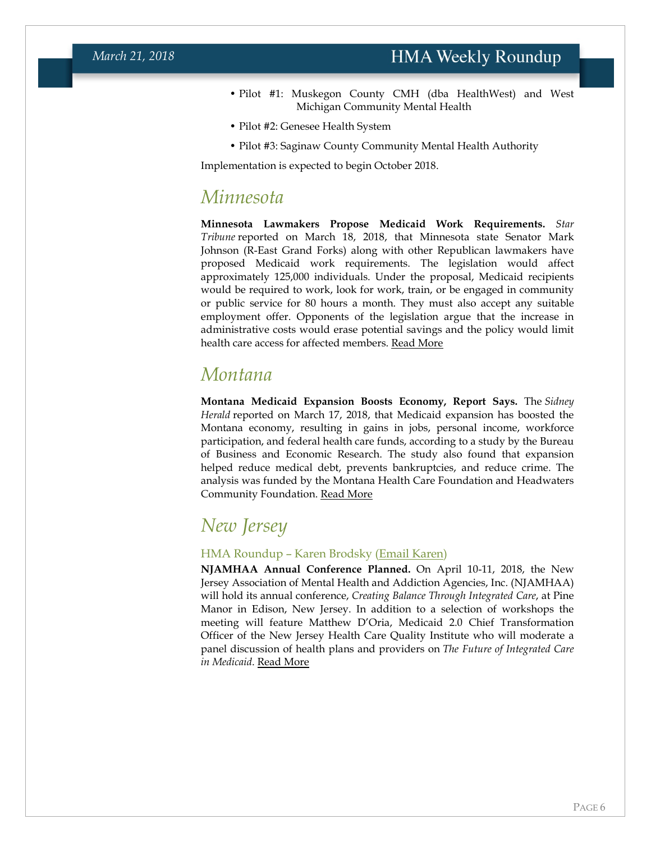- Pilot #1: Muskegon County CMH (dba HealthWest) and West Michigan Community Mental Health
- Pilot #2: Genesee Health System
- Pilot #3: Saginaw County Community Mental Health Authority

Implementation is expected to begin October 2018.

### *Minnesota*

**Minnesota Lawmakers Propose Medicaid Work Requirements.** *Star Tribune* reported on March 18, 2018, that Minnesota state Senator Mark Johnson (R-East Grand Forks) along with other Republican lawmakers have proposed Medicaid work requirements. The legislation would affect approximately 125,000 individuals. Under the proposal, Medicaid recipients would be required to work, look for work, train, or be engaged in community or public service for 80 hours a month. They must also accept any suitable employment offer. Opponents of the legislation argue that the increase in administrative costs would erase potential savings and the policy would limit health care access for affected members. [Read More](http://www.startribune.com/proposed-medicaid-work-requirements-could-end-up-costing-minnesota/477217293/)

### <span id="page-5-0"></span>*Montana*

**Montana Medicaid Expansion Boosts Economy, Report Says.** The *Sidney Herald* reported on March 17, 2018, that Medicaid expansion has boosted the Montana economy, resulting in gains in jobs, personal income, workforce participation, and federal health care funds, according to a study by the Bureau of Business and Economic Research. The study also found that expansion helped reduce medical debt, prevents bankruptcies, and reduce crime. The analysis was funded by the Montana Health Care Foundation and Headwaters Community Foundation. [Read More](http://www.sidneyherald.com/opinion/columnists/bullock-notes-benefits-of-medicaid-expansion/article_c86a8ec4-2970-11e8-ac3b-d3e868b2cbf2.html)

## *New Jersey*

#### HMA Roundup – Karen Brodsky [\(Email Karen\)](mailto:kbrodsky@healthmanagement.com)

<span id="page-5-1"></span>**NJAMHAA Annual Conference Planned.** On April 10-11, 2018, the New Jersey Association of Mental Health and Addiction Agencies, Inc. (NJAMHAA) will hold its annual conference, *Creating Balance Through Integrated Care*, at Pine Manor in Edison, New Jersey. In addition to a selection of workshops the meeting will feature Matthew D'Oria, Medicaid 2.0 Chief Transformation Officer of the New Jersey Health Care Quality Institute who will moderate a panel discussion of health plans and providers on *The Future of Integrated Care in Medicaid*. [Read More](http://www.njamhaa.org/)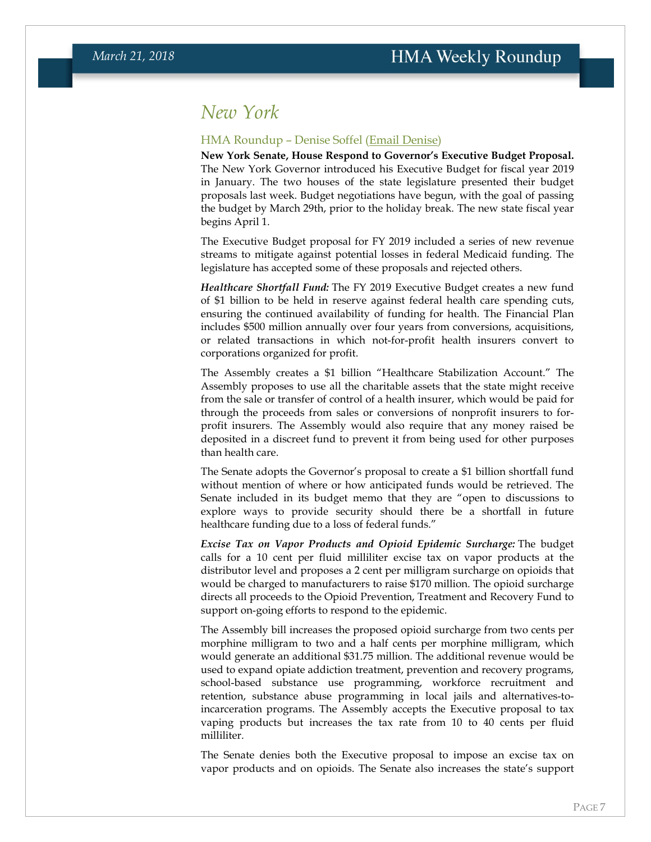### *New York*

#### HMA Roundup – Denise Soffel [\(Email Denise\)](mailto:dsoffel@healthmanagement.com)

**New York Senate, House Respond to Governor's Executive Budget Proposal.** The New York Governor introduced his Executive Budget for fiscal year 2019 in January. The two houses of the state legislature presented their budget proposals last week. Budget negotiations have begun, with the goal of passing the budget by March 29th, prior to the holiday break. The new state fiscal year begins April 1.

The Executive Budget proposal for FY 2019 included a series of new revenue streams to mitigate against potential losses in federal Medicaid funding. The legislature has accepted some of these proposals and rejected others.

*Healthcare Shortfall Fund:* The FY 2019 Executive Budget creates a new fund of \$1 billion to be held in reserve against federal health care spending cuts, ensuring the continued availability of funding for health. The Financial Plan includes \$500 million annually over four years from conversions, acquisitions, or related transactions in which not-for-profit health insurers convert to corporations organized for profit.

The Assembly creates a \$1 billion "Healthcare Stabilization Account." The Assembly proposes to use all the charitable assets that the state might receive from the sale or transfer of control of a health insurer, which would be paid for through the proceeds from sales or conversions of nonprofit insurers to forprofit insurers. The Assembly would also require that any money raised be deposited in a discreet fund to prevent it from being used for other purposes than health care.

The Senate adopts the Governor's proposal to create a \$1 billion shortfall fund without mention of where or how anticipated funds would be retrieved. The Senate included in its budget memo that they are "open to discussions to explore ways to provide security should there be a shortfall in future healthcare funding due to a loss of federal funds."

*Excise Tax on Vapor Products and Opioid Epidemic Surcharge:* The budget calls for a 10 cent per fluid milliliter excise tax on vapor products at the distributor level and proposes a 2 cent per milligram surcharge on opioids that would be charged to manufacturers to raise \$170 million. The opioid surcharge directs all proceeds to the Opioid Prevention, Treatment and Recovery Fund to support on‐going efforts to respond to the epidemic.

The Assembly bill increases the proposed opioid surcharge from two cents per morphine milligram to two and a half cents per morphine milligram, which would generate an additional \$31.75 million. The additional revenue would be used to expand opiate addiction treatment, prevention and recovery programs, school-based substance use programming, workforce recruitment and retention, substance abuse programming in local jails and alternatives-toincarceration programs. The Assembly accepts the Executive proposal to tax vaping products but increases the tax rate from 10 to 40 cents per fluid milliliter.

The Senate denies both the Executive proposal to impose an excise tax on vapor products and on opioids. The Senate also increases the state's support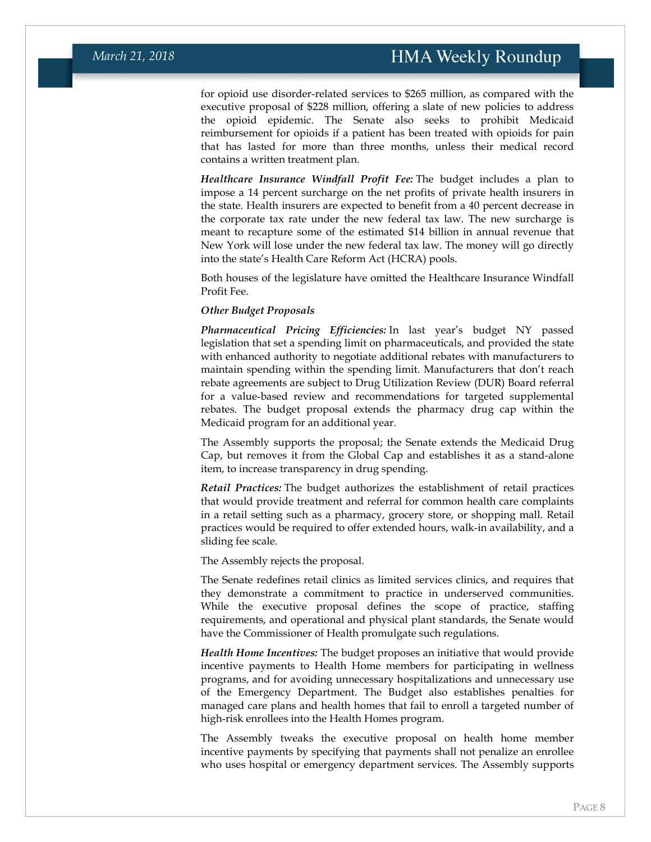for opioid use disorder-related services to \$265 million, as compared with the executive proposal of \$228 million, offering a slate of new policies to address the opioid epidemic. The Senate also seeks to prohibit Medicaid reimbursement for opioids if a patient has been treated with opioids for pain that has lasted for more than three months, unless their medical record contains a written treatment plan.

*Healthcare Insurance Windfall Profit Fee:* The budget includes a plan to impose a 14 percent surcharge on the net profits of private health insurers in the state. Health insurers are expected to benefit from a 40 percent decrease in the corporate tax rate under the new federal tax law. The new surcharge is meant to recapture some of the estimated \$14 billion in annual revenue that New York will lose under the new federal tax law. The money will go directly into the state's Health Care Reform Act (HCRA) pools.

Both houses of the legislature have omitted the Healthcare Insurance Windfall Profit Fee.

#### *Other Budget Proposals*

*Pharmaceutical Pricing Efficiencies:* In last year's budget NY passed legislation that set a spending limit on pharmaceuticals, and provided the state with enhanced authority to negotiate additional rebates with manufacturers to maintain spending within the spending limit. Manufacturers that don't reach rebate agreements are subject to Drug Utilization Review (DUR) Board referral for a value‐based review and recommendations for targeted supplemental rebates. The budget proposal extends the pharmacy drug cap within the Medicaid program for an additional year.

The Assembly supports the proposal; the Senate extends the Medicaid Drug Cap, but removes it from the Global Cap and establishes it as a stand-alone item, to increase transparency in drug spending.

*Retail Practices:* The budget authorizes the establishment of retail practices that would provide treatment and referral for common health care complaints in a retail setting such as a pharmacy, grocery store, or shopping mall. Retail practices would be required to offer extended hours, walk-in availability, and a sliding fee scale.

The Assembly rejects the proposal.

The Senate redefines retail clinics as limited services clinics, and requires that they demonstrate a commitment to practice in underserved communities. While the executive proposal defines the scope of practice, staffing requirements, and operational and physical plant standards, the Senate would have the Commissioner of Health promulgate such regulations.

*Health Home Incentives:* The budget proposes an initiative that would provide incentive payments to Health Home members for participating in wellness programs, and for avoiding unnecessary hospitalizations and unnecessary use of the Emergency Department. The Budget also establishes penalties for managed care plans and health homes that fail to enroll a targeted number of high‐risk enrollees into the Health Homes program.

The Assembly tweaks the executive proposal on health home member incentive payments by specifying that payments shall not penalize an enrollee who uses hospital or emergency department services. The Assembly supports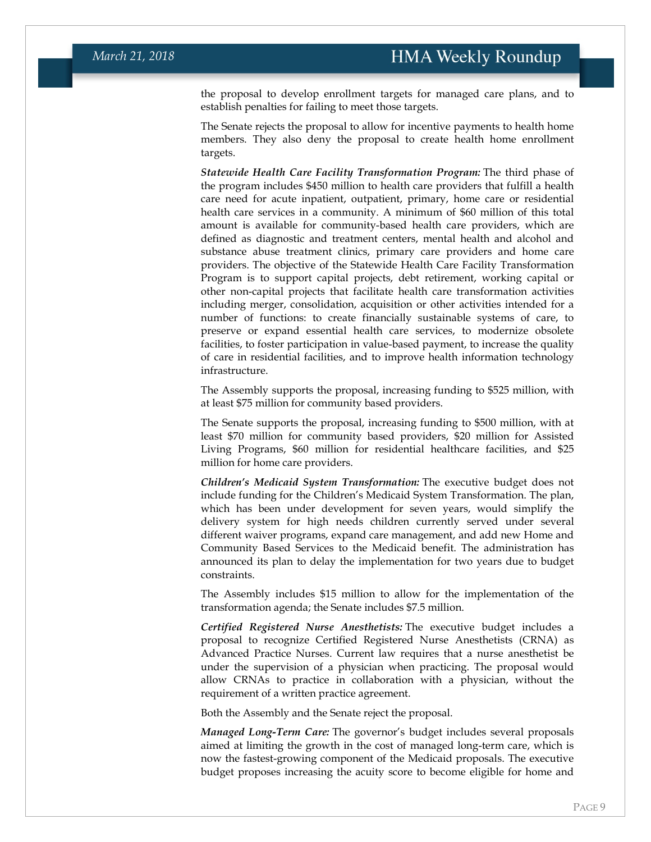the proposal to develop enrollment targets for managed care plans, and to establish penalties for failing to meet those targets.

The Senate rejects the proposal to allow for incentive payments to health home members. They also deny the proposal to create health home enrollment targets.

*Statewide Health Care Facility Transformation Program:* The third phase of the program includes \$450 million to health care providers that fulfill a health care need for acute inpatient, outpatient, primary, home care or residential health care services in a community. A minimum of \$60 million of this total amount is available for community-based health care providers, which are defined as diagnostic and treatment centers, mental health and alcohol and substance abuse treatment clinics, primary care providers and home care providers. The objective of the Statewide Health Care Facility Transformation Program is to support capital projects, debt retirement, working capital or other non-capital projects that facilitate health care transformation activities including merger, consolidation, acquisition or other activities intended for a number of functions: to create financially sustainable systems of care, to preserve or expand essential health care services, to modernize obsolete facilities, to foster participation in value-based payment, to increase the quality of care in residential facilities, and to improve health information technology infrastructure.

The Assembly supports the proposal, increasing funding to \$525 million, with at least \$75 million for community based providers.

The Senate supports the proposal, increasing funding to \$500 million, with at least \$70 million for community based providers, \$20 million for Assisted Living Programs, \$60 million for residential healthcare facilities, and \$25 million for home care providers.

*Children's Medicaid System Transformation:* The executive budget does not include funding for the Children's Medicaid System Transformation. The plan, which has been under development for seven years, would simplify the delivery system for high needs children currently served under several different waiver programs, expand care management, and add new Home and Community Based Services to the Medicaid benefit. The administration has announced its plan to delay the implementation for two years due to budget constraints.

The Assembly includes \$15 million to allow for the implementation of the transformation agenda; the Senate includes \$7.5 million.

*Certified Registered Nurse Anesthetists:* The executive budget includes a proposal to recognize Certified Registered Nurse Anesthetists (CRNA) as Advanced Practice Nurses. Current law requires that a nurse anesthetist be under the supervision of a physician when practicing. The proposal would allow CRNAs to practice in collaboration with a physician, without the requirement of a written practice agreement.

Both the Assembly and the Senate reject the proposal.

*Managed Long-Term Care:* The governor's budget includes several proposals aimed at limiting the growth in the cost of managed long-term care, which is now the fastest-growing component of the Medicaid proposals. The executive budget proposes increasing the acuity score to become eligible for home and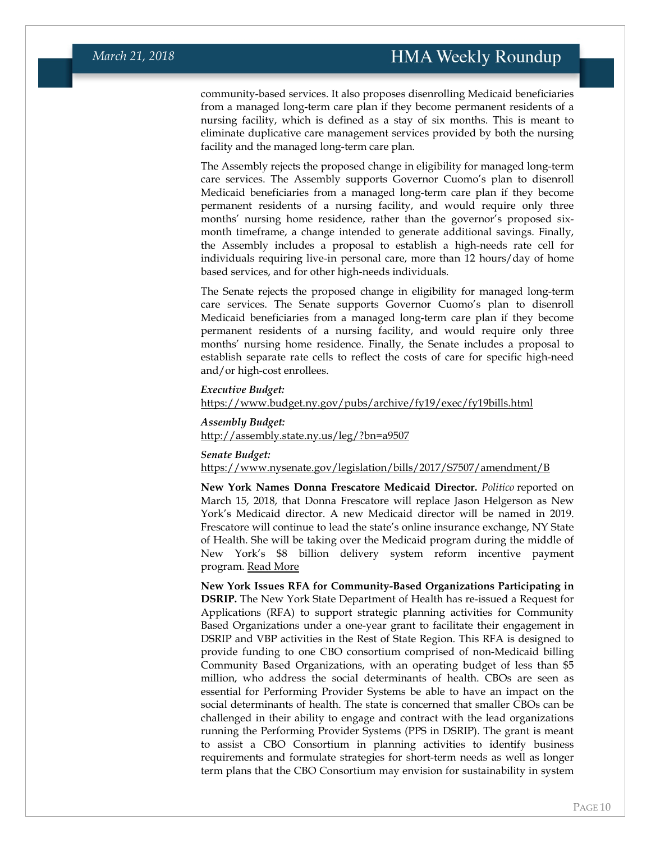community-based services. It also proposes disenrolling Medicaid beneficiaries from a managed long-term care plan if they become permanent residents of a nursing facility, which is defined as a stay of six months. This is meant to eliminate duplicative care management services provided by both the nursing facility and the managed long-term care plan.

The Assembly rejects the proposed change in eligibility for managed long-term care services. The Assembly supports Governor Cuomo's plan to disenroll Medicaid beneficiaries from a managed long-term care plan if they become permanent residents of a nursing facility, and would require only three months' nursing home residence, rather than the governor's proposed sixmonth timeframe, a change intended to generate additional savings. Finally, the Assembly includes a proposal to establish a high-needs rate cell for individuals requiring live-in personal care, more than 12 hours/day of home based services, and for other high-needs individuals.

The Senate rejects the proposed change in eligibility for managed long-term care services. The Senate supports Governor Cuomo's plan to disenroll Medicaid beneficiaries from a managed long-term care plan if they become permanent residents of a nursing facility, and would require only three months' nursing home residence. Finally, the Senate includes a proposal to establish separate rate cells to reflect the costs of care for specific high-need and/or high-cost enrollees.

#### *Executive Budget:*

<https://www.budget.ny.gov/pubs/archive/fy19/exec/fy19bills.html>

*Assembly Budget:* <http://assembly.state.ny.us/leg/?bn=a9507>

#### *Senate Budget:*

<https://www.nysenate.gov/legislation/bills/2017/S7507/amendment/B>

**New York Names Donna Frescatore Medicaid Director.** *Politico* reported on March 15, 2018, that Donna Frescatore will replace Jason Helgerson as New York's Medicaid director. A new Medicaid director will be named in 2019. Frescatore will continue to lead the state's online insurance exchange, NY State of Health. She will be taking over the Medicaid program during the middle of New York's \$8 billion delivery system reform incentive payment program. [Read More](https://www.politico.com/states/new-york/albany/story/2018/03/15/donna-frescatore-to-take-over-as-state-medicaid-director-316756)

**New York Issues RFA for Community-Based Organizations Participating in DSRIP.** The New York State Department of Health has re-issued a Request for Applications (RFA) to support strategic planning activities for Community Based Organizations under a one-year grant to facilitate their engagement in DSRIP and VBP activities in the Rest of State Region. This RFA is designed to provide funding to one CBO consortium comprised of non-Medicaid billing Community Based Organizations, with an operating budget of less than \$5 million, who address the social determinants of health. CBOs are seen as essential for Performing Provider Systems be able to have an impact on the social determinants of health. The state is concerned that smaller CBOs can be challenged in their ability to engage and contract with the lead organizations running the Performing Provider Systems (PPS in DSRIP). The grant is meant to assist a CBO Consortium in planning activities to identify business requirements and formulate strategies for short-term needs as well as longer term plans that the CBO Consortium may envision for sustainability in system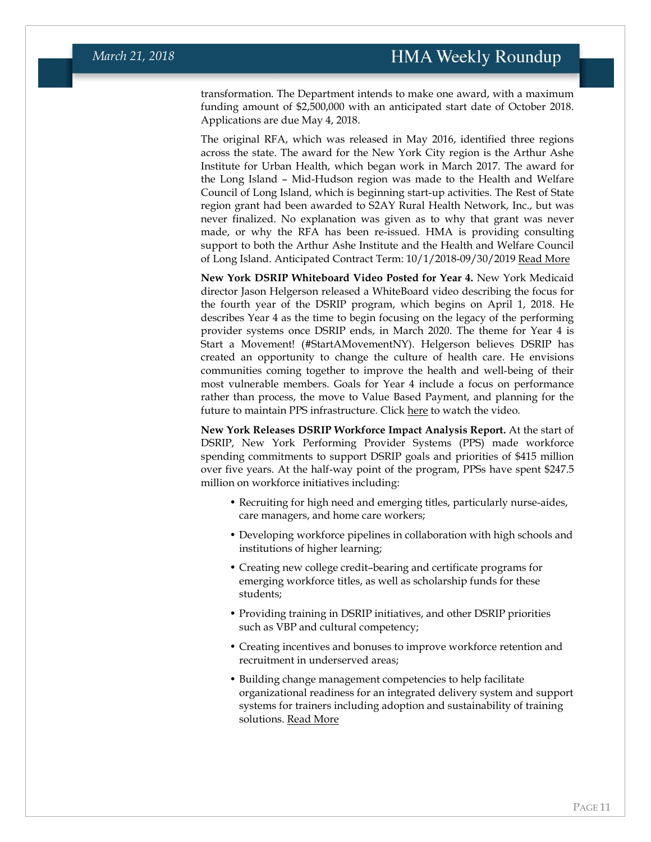transformation. The Department intends to make one award, with a maximum funding amount of \$2,500,000 with an anticipated start date of October 2018. Applications are due May 4, 2018.

The original RFA, which was released in May 2016, identified three regions across the state. The award for the New York City region is the Arthur Ashe Institute for Urban Health, which began work in March 2017. The award for the Long Island – Mid-Hudson region was made to the Health and Welfare Council of Long Island, which is beginning start-up activities. The Rest of State region grant had been awarded to S2AY Rural Health Network, Inc., but was never finalized. No explanation was given as to why that grant was never made, or why the RFA has been re-issued. HMA is providing consulting support to both the Arthur Ashe Institute and the Health and Welfare Council of Long Island. Anticipated Contract Term: 10/1/2018-09/30/2019 [Read More](https://grantsgateway.ny.gov/IntelliGrants_NYSGG/module/nysgg/goportal.aspx?NavItem1=2)

**New York DSRIP Whiteboard Video Posted for Year 4.** New York Medicaid director Jason Helgerson released a WhiteBoard video describing the focus for the fourth year of the DSRIP program, which begins on April 1, 2018. He describes Year 4 as the time to begin focusing on the legacy of the performing provider systems once DSRIP ends, in March 2020. The theme for Year 4 is Start a Movement! (#StartAMovementNY). Helgerson believes DSRIP has created an opportunity to change the culture of health care. He envisions communities coming together to improve the health and well-being of their most vulnerable members. Goals for Year 4 include a focus on performance rather than process, the move to Value Based Payment, and planning for the future to maintain PPS infrastructure. Click [here](https://www.youtube.com/watch?v=_GEzMUc1_CU) to watch the video.

**New York Releases DSRIP Workforce Impact Analysis Report.** At the start of DSRIP, New York Performing Provider Systems (PPS) made workforce spending commitments to support DSRIP goals and priorities of \$415 million over five years. At the half-way point of the program, PPSs have spent \$247.5 million on workforce initiatives including:

- Recruiting for high need and emerging titles, particularly nurse-aides, care managers, and home care workers;
- Developing workforce pipelines in collaboration with high schools and institutions of higher learning;
- Creating new college credit–bearing and certificate programs for emerging workforce titles, as well as scholarship funds for these students;
- Providing training in DSRIP initiatives, and other DSRIP priorities such as VBP and cultural competency;
- Creating incentives and bonuses to improve workforce retention and recruitment in underserved areas;
- Building change management competencies to help facilitate organizational readiness for an integrated delivery system and support systems for trainers including adoption and sustainability of training solutions. [Read More](https://www.health.ny.gov/health_care/medicaid/redesign/dsrip/workforce_docs/2018-02_workforce_impact.htm)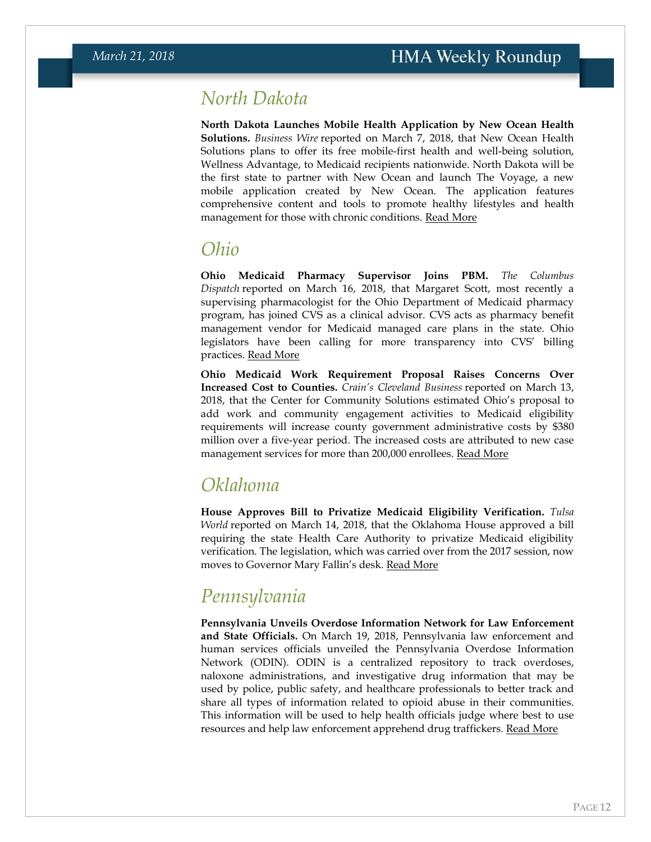### *North Dakota*

**North Dakota Launches Mobile Health Application by New Ocean Health Solutions.** *Business Wire* reported on March 7, 2018, that New Ocean Health Solutions plans to offer its free mobile-first health and well-being solution, Wellness Advantage, to Medicaid recipients nationwide. North Dakota will be the first state to partner with New Ocean and launch The Voyage, a new mobile application created by New Ocean. The application features comprehensive content and tools to promote healthy lifestyles and health management for those with chronic conditions. [Read More](https://www.businesswire.com/news/home/20180307005070/en/New-Ocean-Offer-Free-Health-Well-Being-Solution)

### *Ohio*

**Ohio Medicaid Pharmacy Supervisor Joins PBM.** *The Columbus Dispatch* reported on March 16, 2018, that Margaret Scott, most recently a supervising pharmacologist for the Ohio Department of Medicaid pharmacy program, has joined CVS as a clinical advisor. CVS acts as pharmacy benefit management vendor for Medicaid managed care plans in the state. Ohio legislators have been calling for more transparency into CVS' billing practices. [Read More](http://www.dispatch.com/news/20180316/one-month-shes-supervising-state-drug-program-next-month-shes-with-cvs)

**Ohio Medicaid Work Requirement Proposal Raises Concerns Over Increased Cost to Counties.** *Crain's Cleveland Business* reported on March 13, 2018, that the Center for Community Solutions estimated Ohio's proposal to add work and community engagement activities to Medicaid eligibility requirements will increase county government administrative costs by \$380 million over a five-year period. The increased costs are attributed to new case management services for more than 200,000 enrollees. [Read More](http://www.crainscleveland.com/article/20180313/news/154751/ohios-proposed-medicaid-eligibility-requirements-could-cost-counties)

### *Oklahoma*

**House Approves Bill to Privatize Medicaid Eligibility Verification.** *Tulsa World* reported on March 14, 2018, that the Oklahoma House approved a bill requiring the state Health Care Authority to privatize Medicaid eligibility verification. The legislation, which was carried over from the 2017 session, now moves to Governor Mary Fallin's desk. [Read More](http://www.tulsaworld.com/homepagelatest/oklahoma-house-votes-to-privatize-medicaid-verification/article_d8d69d6c-3297-5486-b0ec-81626d91a549.html)

## *Pennsylvania*

**Pennsylvania Unveils Overdose Information Network for Law Enforcement and State Officials.** On March 19, 2018, Pennsylvania law enforcement and human services officials unveiled the Pennsylvania Overdose Information Network (ODIN). ODIN is a centralized repository to track overdoses, naloxone administrations, and investigative drug information that may be used by police, public safety, and healthcare professionals to better track and share all types of information related to opioid abuse in their communities. This information will be used to help health officials judge where best to use resources and help law enforcement apprehend drug traffickers. [Read More](https://www.governor.pa.gov/wolf-administration-unveils-pa-overdose-information-network/)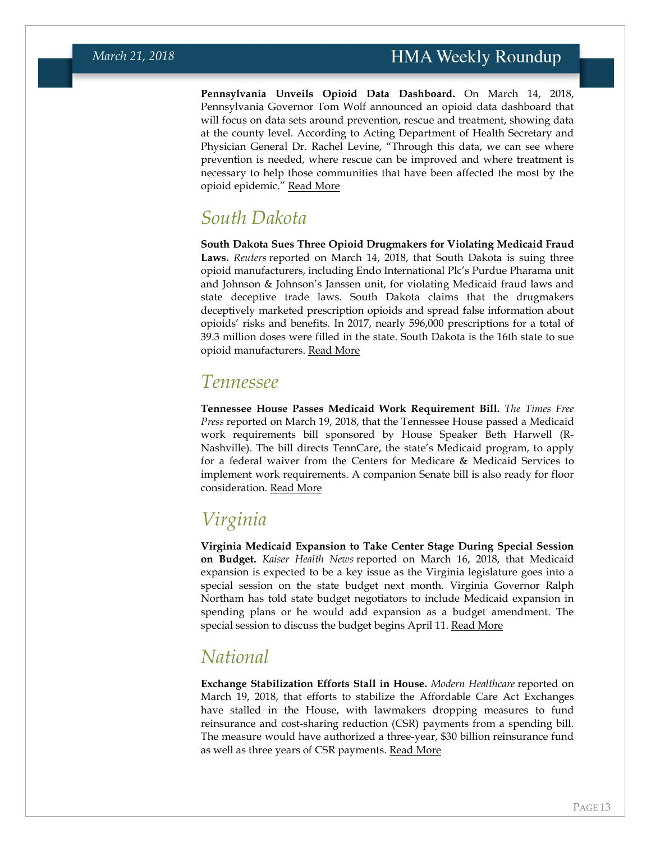**Pennsylvania Unveils Opioid Data Dashboard.** On March 14, 2018, Pennsylvania Governor Tom Wolf announced an opioid data dashboard that will focus on data sets around prevention, rescue and treatment, showing data at the county level. According to Acting Department of Health Secretary and Physician General Dr. Rachel Levine, "Through this data, we can see where prevention is needed, where rescue can be improved and where treatment is necessary to help those communities that have been affected the most by the opioid epidemic." [Read More](https://www.governor.pa.gov/wolf-administration-continues-address-opioid-crisis-unveils-opioid-data-dashboard-provide-data-public/)

### *South Dakota*

**South Dakota Sues Three Opioid Drugmakers for Violating Medicaid Fraud Laws.** *Reuters* reported on March 14, 2018, that South Dakota is suing three opioid manufacturers, including Endo International Plc's Purdue Pharama unit and Johnson & Johnson's Janssen unit, for violating Medicaid fraud laws and state deceptive trade laws. South Dakota claims that the drugmakers deceptively marketed prescription opioids and spread false information about opioids' risks and benefits. In 2017, nearly 596,000 prescriptions for a total of 39.3 million doses were filled in the state. South Dakota is the 16th state to sue opioid manufacturers. [Read More](https://www.reuters.com/article/us-usa-opioids-litigation/south-dakota-sues-opioid-makers-as-litigation-swells-idUSKCN1GQ307)

### *Tennessee*

**Tennessee House Passes Medicaid Work Requirement Bill.** *The Times Free Press* reported on March 19, 2018, that the Tennessee House passed a Medicaid work requirements bill sponsored by House Speaker Beth Harwell (R-Nashville). The bill directs TennCare, the state's Medicaid program, to apply for a federal waiver from the Centers for Medicare & Medicaid Services to implement work requirements. A companion Senate bill is also ready for floor consideration. [Read More](http://www.timesfreepress.com/news/breakingnews/story/2018/mar/19/tennessee-house-approves-bill-seeking-federal-ok-medicaid-work-requirement/466316/)

## *Virginia*

**Virginia Medicaid Expansion to Take Center Stage During Special Session on Budget.** *Kaiser Health News* reported on March 16, 2018, that Medicaid expansion is expected to be a key issue as the Virginia legislature goes into a special session on the state budget next month. Virginia Governor Ralph Northam has told state budget negotiators to include Medicaid expansion in spending plans or he would add expansion as a budget amendment. The special session to discuss the budget begins April 11. [Read More](https://khn.org/news/with-some-republican-support-virginia-edges-closer-to-medicaid-expansion/)

### <span id="page-12-0"></span>*National*

**Exchange Stabilization Efforts Stall in House.** *Modern Healthcare* reported on March 19, 2018, that efforts to stabilize the Affordable Care Act Exchanges have stalled in the House, with lawmakers dropping measures to fund reinsurance and cost-sharing reduction (CSR) payments from a spending bill. The measure would have authorized a three-year, \$30 billion reinsurance fund as well as three years of CSR payments. [Read More](http://www.modernhealthcare.com/article/20180319/NEWS/180319894)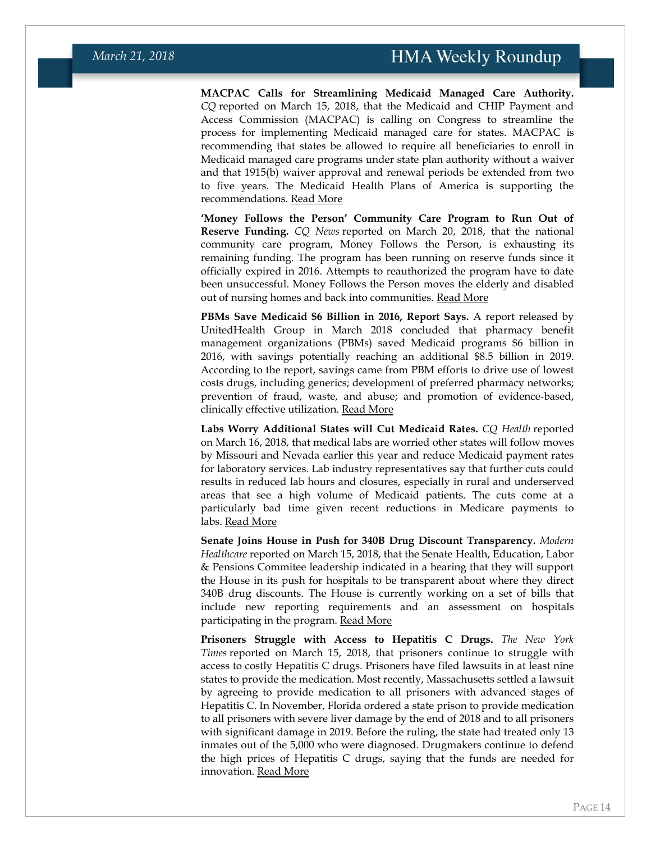**MACPAC Calls for Streamlining Medicaid Managed Care Authority.**  *CQ* reported on March 15, 2018, that the Medicaid and CHIP Payment and Access Commission (MACPAC) is calling on Congress to streamline the process for implementing Medicaid managed care for states. MACPAC is recommending that states be allowed to require all beneficiaries to enroll in Medicaid managed care programs under state plan authority without a waiver and that 1915(b) waiver approval and renewal periods be extended from two to five years. The Medicaid Health Plans of America is supporting the recommendations. [Read More](https://plus.cq.com/login?jumpto=http%3A%2F%2Fplus.cq.com%2F)

**'Money Follows the Person' Community Care Program to Run Out of Reserve Funding.** *CQ News* reported on March 20, 2018, that the national community care program, Money Follows the Person, is exhausting its remaining funding. The program has been running on reserve funds since it officially expired in 2016. Attempts to reauthorized the program have to date been unsuccessful. Money Follows the Person moves the elderly and disabled out of nursing homes and back into communities. [Read More](https://plus.cq.com/login?jumpto=http%3A%2F%2Fplus.cq.com%2Fdoc%2Fnews-5286275%3F1)

**PBMs Save Medicaid \$6 Billion in 2016, Report Says.** A report released by UnitedHealth Group in March 2018 concluded that pharmacy benefit management organizations (PBMs) saved Medicaid programs \$6 billion in 2016, with savings potentially reaching an additional \$8.5 billion in 2019. According to the report, savings came from PBM efforts to drive use of lowest costs drugs, including generics; development of preferred pharmacy networks; prevention of fraud, waste, and abuse; and promotion of evidence-based, clinically effective utilization. [Read More](http://www.unitedhealthgroup.com/pcs)

**Labs Worry Additional States will Cut Medicaid Rates.** *CQ Health* reported on March 16, 2018, that medical labs are worried other states will follow moves by Missouri and Nevada earlier this year and reduce Medicaid payment rates for laboratory services. Lab industry representatives say that further cuts could results in reduced lab hours and closures, especially in rural and underserved areas that see a high volume of Medicaid patients. The cuts come at a particularly bad time given recent reductions in Medicare payments to labs. [Read More](https://plus.cq.com/doc/hbnews-5284819?1&utm_medium=newsletter&utm_source=hbafternoon)

**Senate Joins House in Push for 340B Drug Discount Transparency.** *Modern Healthcare* reported on March 15, 2018, that the Senate Health, Education, Labor & Pensions Commitee leadership indicated in a hearing that they will support the House in its push for hospitals to be transparent about where they direct 340B drug discounts. The House is currently working on a set of bills that include new reporting requirements and an assessment on hospitals participating in the program. [Read More](http://www.modernhealthcare.com/article/20180315/NEWS/180319937)

**Prisoners Struggle with Access to Hepatitis C Drugs.** *The New York Times* reported on March 15, 2018, that prisoners continue to struggle with access to costly Hepatitis C drugs. Prisoners have filed lawsuits in at least nine states to provide the medication. Most recently, Massachusetts settled a lawsuit by agreeing to provide medication to all prisoners with advanced stages of Hepatitis C. In November, Florida ordered a state prison to provide medication to all prisoners with severe liver damage by the end of 2018 and to all prisoners with significant damage in 2019. Before the ruling, the state had treated only 13 inmates out of the 5,000 who were diagnosed. Drugmakers continue to defend the high prices of Hepatitis C drugs, saying that the funds are needed for innovation. [Read More](https://www.nytimes.com/2018/03/15/us/hepatitis-c-drugs-prisons.html)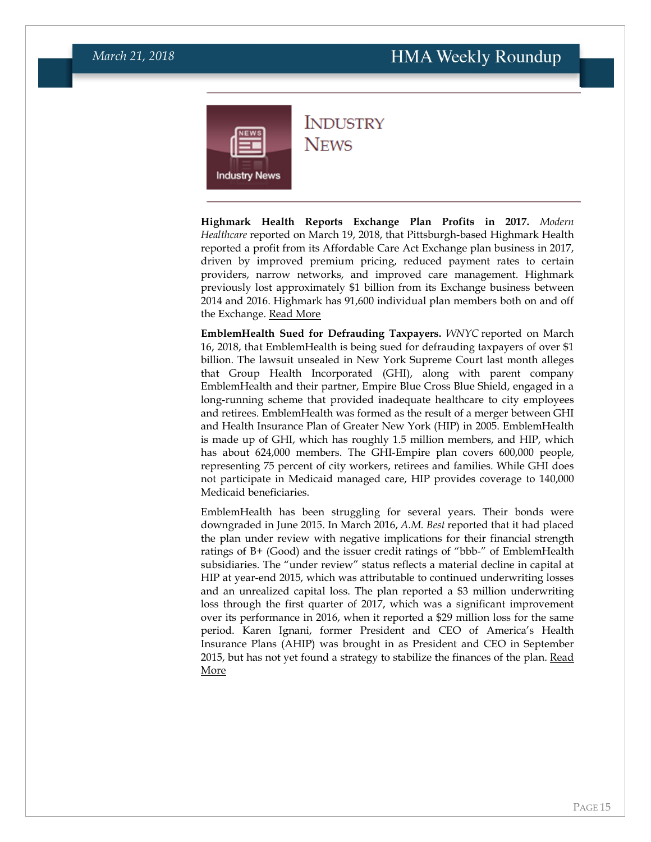<span id="page-14-0"></span>

**INDUSTRY NEWS** 

**Highmark Health Reports Exchange Plan Profits in 2017.** *Modern Healthcare* reported on March 19, 2018, that Pittsburgh-based Highmark Health reported a profit from its Affordable Care Act Exchange plan business in 2017, driven by improved premium pricing, reduced payment rates to certain providers, narrow networks, and improved care management. Highmark previously lost approximately \$1 billion from its Exchange business between 2014 and 2016. Highmark has 91,600 individual plan members both on and off the Exchange. [Read More](http://www.modernhealthcare.com/article/20180319/NEWS/180319898)

**EmblemHealth Sued for Defrauding Taxpayers.** *WNYC* reported on March 16, 2018, that EmblemHealth is being sued for defrauding taxpayers of over \$1 billion. The lawsuit unsealed in New York Supreme Court last month alleges that Group Health Incorporated (GHI), along with parent company EmblemHealth and their partner, Empire Blue Cross Blue Shield, engaged in a long-running scheme that provided inadequate healthcare to city employees and retirees. EmblemHealth was formed as the result of a merger between GHI and Health Insurance Plan of Greater New York (HIP) in 2005. EmblemHealth is made up of GHI, which has roughly 1.5 million members, and HIP, which has about 624,000 members. The GHI-Empire plan covers 600,000 people, representing 75 percent of city workers, retirees and families. While GHI does not participate in Medicaid managed care, HIP provides coverage to 140,000 Medicaid beneficiaries.

EmblemHealth has been struggling for several years. Their bonds were downgraded in June 2015. In March 2016, *A.M. Best* reported that it had placed the plan under review with negative implications for their financial strength ratings of B+ (Good) and the issuer credit ratings of "bbb-" of EmblemHealth subsidiaries. The "under review" status reflects a material decline in capital at HIP at year-end 2015, which was attributable to continued underwriting losses and an unrealized capital loss. The plan reported a \$3 million underwriting loss through the first quarter of 2017, which was a significant improvement over its performance in 2016, when it reported a \$29 million loss for the same period. Karen Ignani, former President and CEO of America's Health Insurance Plans (AHIP) was brought in as President and CEO in September 2015, but has not yet found a strategy to stabilize the finances of the plan. [Read](https://www.wnyc.org/story/whistleblowers-sue-citys-top-health-insurance-providers/)  [More](https://www.wnyc.org/story/whistleblowers-sue-citys-top-health-insurance-providers/)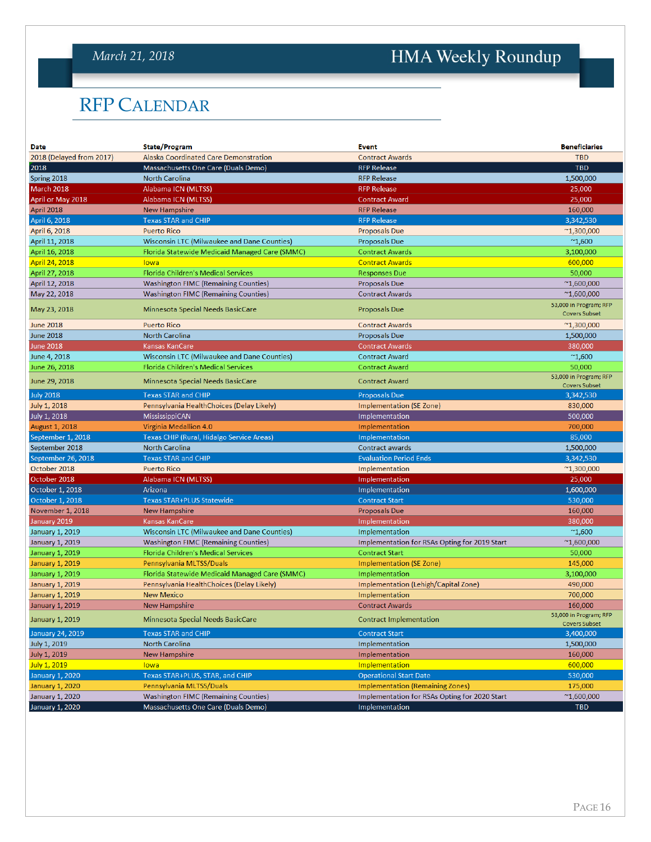### <span id="page-15-0"></span>*March 21, 2018*

# HMA Weekly Roundup

## RFP CALENDAR

| Date                     | <b>State/Program</b>                           | Event                                         | <b>Beneficiaries</b>                           |
|--------------------------|------------------------------------------------|-----------------------------------------------|------------------------------------------------|
| 2018 (Delayed from 2017) | Alaska Coordinated Care Demonstration          | <b>Contract Awards</b>                        | <b>TBD</b>                                     |
| 2018                     | Massachusetts One Care (Duals Demo)            | <b>RFP Release</b>                            | <b>TBD</b>                                     |
| Spring 2018              | <b>North Carolina</b>                          | <b>RFP Release</b>                            | 1,500,000                                      |
| March 2018               | Alabama ICN (MLTSS)                            | <b>RFP Release</b>                            | 25,000                                         |
| April or May 2018        | Alabama ICN (MLTSS)                            | <b>Contract Award</b>                         | 25,000                                         |
| April 2018               | <b>New Hampshire</b>                           | <b>RFP Release</b>                            | 160,000                                        |
| April 6, 2018            | <b>Texas STAR and CHIP</b>                     | <b>RFP Release</b>                            | 3,342,530                                      |
| April 6, 2018            | <b>Puerto Rico</b>                             | <b>Proposals Due</b>                          | $^{\sim}1,300,000$                             |
| April 11, 2018           | Wisconsin LTC (Milwaukee and Dane Counties)    | <b>Proposals Due</b>                          | $^{\sim}1,600$                                 |
| April 16, 2018           | Florida Statewide Medicaid Managed Care (SMMC) | <b>Contract Awards</b>                        | 3,100,000                                      |
| April 24, 2018           | lowa                                           | <b>Contract Awards</b>                        | 600,000                                        |
| April 27, 2018           | <b>Florida Children's Medical Services</b>     | <b>Responses Due</b>                          | 50,000                                         |
| April 12, 2018           | <b>Washington FIMC (Remaining Counties)</b>    | <b>Proposals Due</b>                          | $^{\sim}1,600,000$                             |
| May 22, 2018             | <b>Washington FIMC (Remaining Counties)</b>    | <b>Contract Awards</b>                        | $^{\sim}1,600,000$                             |
| May 23, 2018             | Minnesota Special Needs BasicCare              | <b>Proposals Due</b>                          | 53,000 in Program; RFP<br><b>Covers Subset</b> |
| <b>June 2018</b>         | <b>Puerto Rico</b>                             | <b>Contract Awards</b>                        | $^{\sim}1,300,000$                             |
| <b>June 2018</b>         | <b>North Carolina</b>                          | <b>Proposals Due</b>                          | 1,500,000                                      |
| <b>June 2018</b>         | Kansas KanCare                                 | <b>Contract Awards</b>                        | 380,000                                        |
| June 4, 2018             | Wisconsin LTC (Milwaukee and Dane Counties)    | <b>Contract Award</b>                         | $^{\sim}1,600$                                 |
| June 26, 2018            | <b>Florida Children's Medical Services</b>     | <b>Contract Award</b>                         | 50,000                                         |
| June 29, 2018            | <b>Minnesota Special Needs BasicCare</b>       | <b>Contract Award</b>                         | 53,000 in Program; RFP<br><b>Covers Subset</b> |
| <b>July 2018</b>         | <b>Texas STAR and CHIP</b>                     | <b>Proposals Due</b>                          | 3,342,530                                      |
| <b>July 1, 2018</b>      | Pennsylvania HealthChoices (Delay Likely)      | <b>Implementation (SE Zone)</b>               | 830,000                                        |
| July 1, 2018             | <b>MississippiCAN</b>                          | Implementation                                | 500,000                                        |
| <b>August 1, 2018</b>    | Virginia Medallion 4.0                         | Implementation                                | 700,000                                        |
| September 1, 2018        | Texas CHIP (Rural, Hidalgo Service Areas)      | Implementation                                | 85,000                                         |
| September 2018           | <b>North Carolina</b>                          | <b>Contract awards</b>                        | 1,500,000                                      |
| September 26, 2018       | <b>Texas STAR and CHIP</b>                     | <b>Evaluation Period Ends</b>                 | 3,342,530                                      |
| October 2018             | <b>Puerto Rico</b>                             | Implementation                                | $^{\sim}1,300,000$                             |
| October 2018             | Alabama ICN (MLTSS)                            | Implementation                                | 25,000                                         |
| October 1, 2018          | Arizona                                        | Implementation                                | 1,600,000                                      |
| October 1, 2018          | <b>Texas STAR+PLUS Statewide</b>               | <b>Contract Start</b>                         | 530,000                                        |
| November 1, 2018         | New Hampshire                                  | <b>Proposals Due</b>                          | 160,000                                        |
| January 2019             | <b>Kansas KanCare</b>                          | Implementation                                | 380,000                                        |
| <b>January 1, 2019</b>   | Wisconsin LTC (Milwaukee and Dane Counties)    | Implementation                                | $^{\sim}1,600$                                 |
| <b>January 1, 2019</b>   | Washington FIMC (Remaining Counties)           | Implementation for RSAs Opting for 2019 Start | $^{\sim}1,600,000$                             |
| <b>January 1, 2019</b>   | <b>Florida Children's Medical Services</b>     | <b>Contract Start</b>                         | 50,000                                         |
| <b>January 1, 2019</b>   | Pennsylvania MLTSS/Duals                       | Implementation (SE Zone)                      | 145,000                                        |
| January 1, 2019          | Florida Statewide Medicaid Managed Care (SMMC) | Implementation                                | 3,100,000                                      |
| <b>January 1, 2019</b>   | Pennsylvania HealthChoices (Delay Likely)      | Implementation (Lehigh/Capital Zone)          | 490,000                                        |
| <b>January 1, 2019</b>   | <b>New Mexico</b>                              | Implementation                                | 700,000                                        |
| <b>January 1, 2019</b>   | New Hampshire                                  | <b>Contract Awards</b>                        | 160,000                                        |
| <b>January 1, 2019</b>   | Minnesota Special Needs BasicCare              | <b>Contract Implementation</b>                | 53,000 in Program; RFP<br><b>Covers Subset</b> |
| <b>January 24, 2019</b>  | <b>Texas STAR and CHIP</b>                     | <b>Contract Start</b>                         | 3,400,000                                      |
| July 1, 2019             | <b>North Carolina</b>                          | Implementation                                | 1,500,000                                      |
| July 1, 2019             | <b>New Hampshire</b>                           | Implementation                                | 160,000                                        |
| July 1, 2019             | lowa                                           | Implementation                                | 600,000                                        |
| <b>January 1, 2020</b>   | Texas STAR+PLUS, STAR, and CHIP                | <b>Operational Start Date</b>                 | 530,000                                        |
| <b>January 1, 2020</b>   | Pennsylvania MLTSS/Duals                       | <b>Implementation (Remaining Zones)</b>       | 175,000                                        |
| <b>January 1, 2020</b>   | <b>Washington FIMC (Remaining Counties)</b>    | Implementation for RSAs Opting for 2020 Start | $^{\sim}1,600,000$                             |
| <b>January 1, 2020</b>   | Massachusetts One Care (Duals Demo)            | Implementation                                | <b>TBD</b>                                     |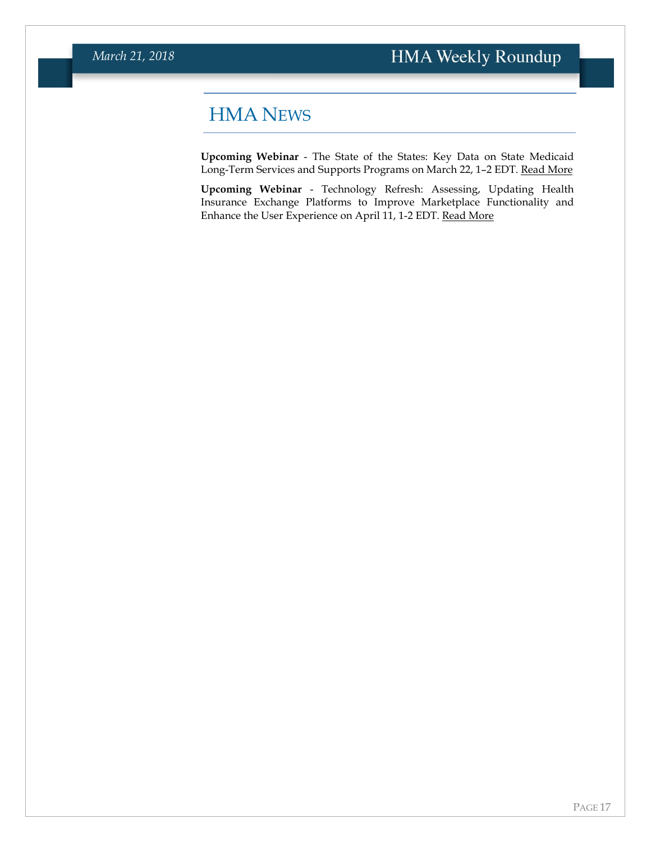### <span id="page-16-0"></span>HMA NEWS

**Upcoming Webinar** - The State of the States: Key Data on State Medicaid Long-Term Services and Supports Programs on March 22, 1–2 EDT. [Read More](https://www.healthmanagement.com/knowledge-share/webinars/state-states-key-data-state-medicaid-long-term-services-supports-programs/)

**Upcoming Webinar** - Technology Refresh: Assessing, Updating Health Insurance Exchange Platforms to Improve Marketplace Functionality and Enhance the User Experience on April 11, 1-2 EDT. [Read More](https://www.healthmanagement.com/knowledge-share/webinars/technology-refresh-assessing-updating-health-insurance-exchange-platforms-improve-marketplace-functionality-enhance-user-experience/)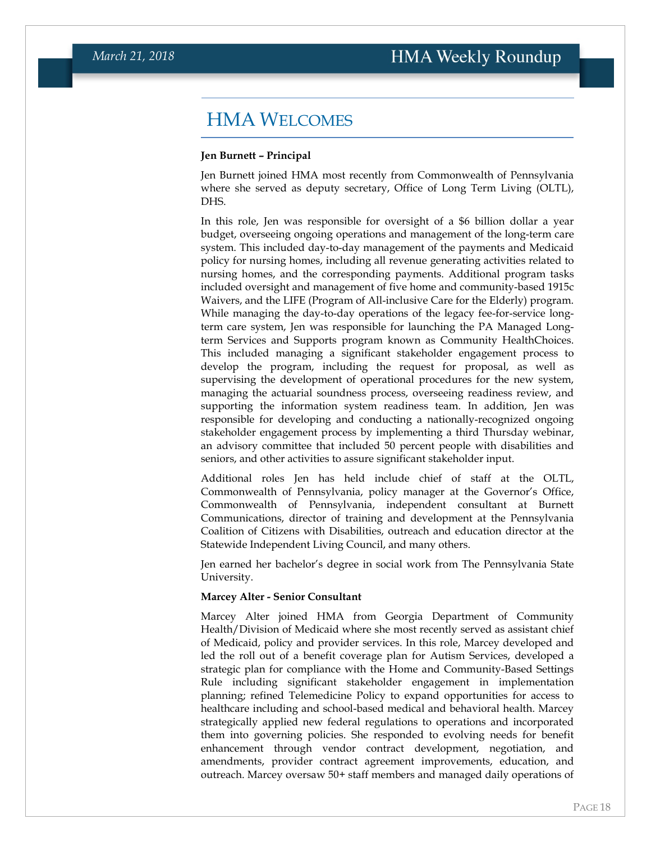### <span id="page-17-0"></span>HMA WELCOMES

#### **Jen Burnett – Principal**

Jen Burnett joined HMA most recently from Commonwealth of Pennsylvania where she served as deputy secretary, Office of Long Term Living (OLTL), DHS.

In this role, Jen was responsible for oversight of a \$6 billion dollar a year budget, overseeing ongoing operations and management of the long-term care system. This included day-to-day management of the payments and Medicaid policy for nursing homes, including all revenue generating activities related to nursing homes, and the corresponding payments. Additional program tasks included oversight and management of five home and community-based 1915c Waivers, and the LIFE (Program of All-inclusive Care for the Elderly) program. While managing the day-to-day operations of the legacy fee-for-service longterm care system, Jen was responsible for launching the PA Managed Longterm Services and Supports program known as Community HealthChoices. This included managing a significant stakeholder engagement process to develop the program, including the request for proposal, as well as supervising the development of operational procedures for the new system, managing the actuarial soundness process, overseeing readiness review, and supporting the information system readiness team. In addition, Jen was responsible for developing and conducting a nationally-recognized ongoing stakeholder engagement process by implementing a third Thursday webinar, an advisory committee that included 50 percent people with disabilities and seniors, and other activities to assure significant stakeholder input.

Additional roles Jen has held include chief of staff at the OLTL, Commonwealth of Pennsylvania, policy manager at the Governor's Office, Commonwealth of Pennsylvania, independent consultant at Burnett Communications, director of training and development at the Pennsylvania Coalition of Citizens with Disabilities, outreach and education director at the Statewide Independent Living Council, and many others.

Jen earned her bachelor's degree in social work from The Pennsylvania State University.

#### **Marcey Alter - Senior Consultant**

Marcey Alter joined HMA from Georgia Department of Community Health/Division of Medicaid where she most recently served as assistant chief of Medicaid, policy and provider services. In this role, Marcey developed and led the roll out of a benefit coverage plan for Autism Services, developed a strategic plan for compliance with the Home and Community-Based Settings Rule including significant stakeholder engagement in implementation planning; refined Telemedicine Policy to expand opportunities for access to healthcare including and school-based medical and behavioral health. Marcey strategically applied new federal regulations to operations and incorporated them into governing policies. She responded to evolving needs for benefit enhancement through vendor contract development, negotiation, and amendments, provider contract agreement improvements, education, and outreach. Marcey oversaw 50+ staff members and managed daily operations of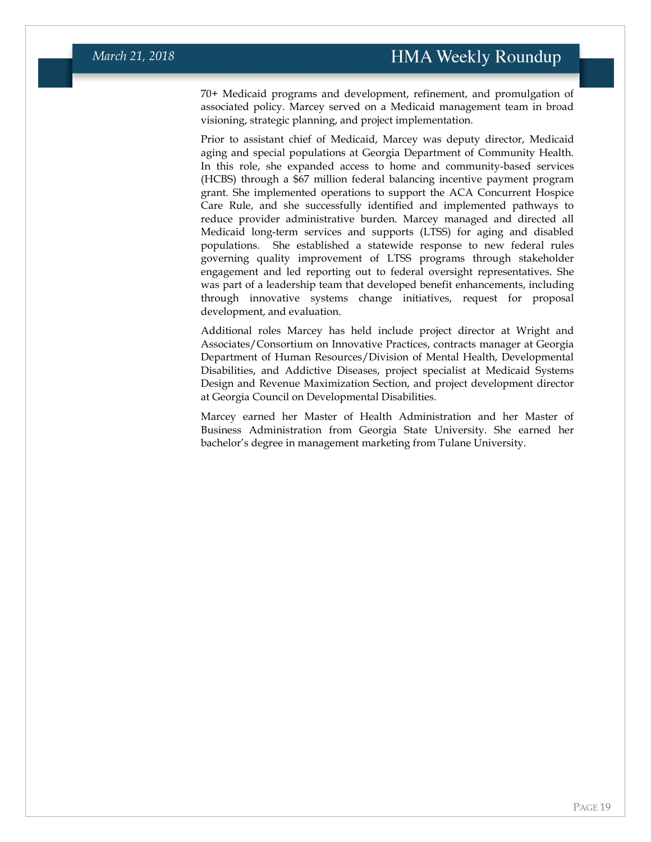70+ Medicaid programs and development, refinement, and promulgation of associated policy. Marcey served on a Medicaid management team in broad visioning, strategic planning, and project implementation.

Prior to assistant chief of Medicaid, Marcey was deputy director, Medicaid aging and special populations at Georgia Department of Community Health. In this role, she expanded access to home and community-based services (HCBS) through a \$67 million federal balancing incentive payment program grant. She implemented operations to support the ACA Concurrent Hospice Care Rule, and she successfully identified and implemented pathways to reduce provider administrative burden. Marcey managed and directed all Medicaid long-term services and supports (LTSS) for aging and disabled populations. She established a statewide response to new federal rules governing quality improvement of LTSS programs through stakeholder engagement and led reporting out to federal oversight representatives. She was part of a leadership team that developed benefit enhancements, including through innovative systems change initiatives, request for proposal development, and evaluation.

Additional roles Marcey has held include project director at Wright and Associates/Consortium on Innovative Practices, contracts manager at Georgia Department of Human Resources/Division of Mental Health, Developmental Disabilities, and Addictive Diseases, project specialist at Medicaid Systems Design and Revenue Maximization Section, and project development director at Georgia Council on Developmental Disabilities.

Marcey earned her Master of Health Administration and her Master of Business Administration from Georgia State University. She earned her bachelor's degree in management marketing from Tulane University.